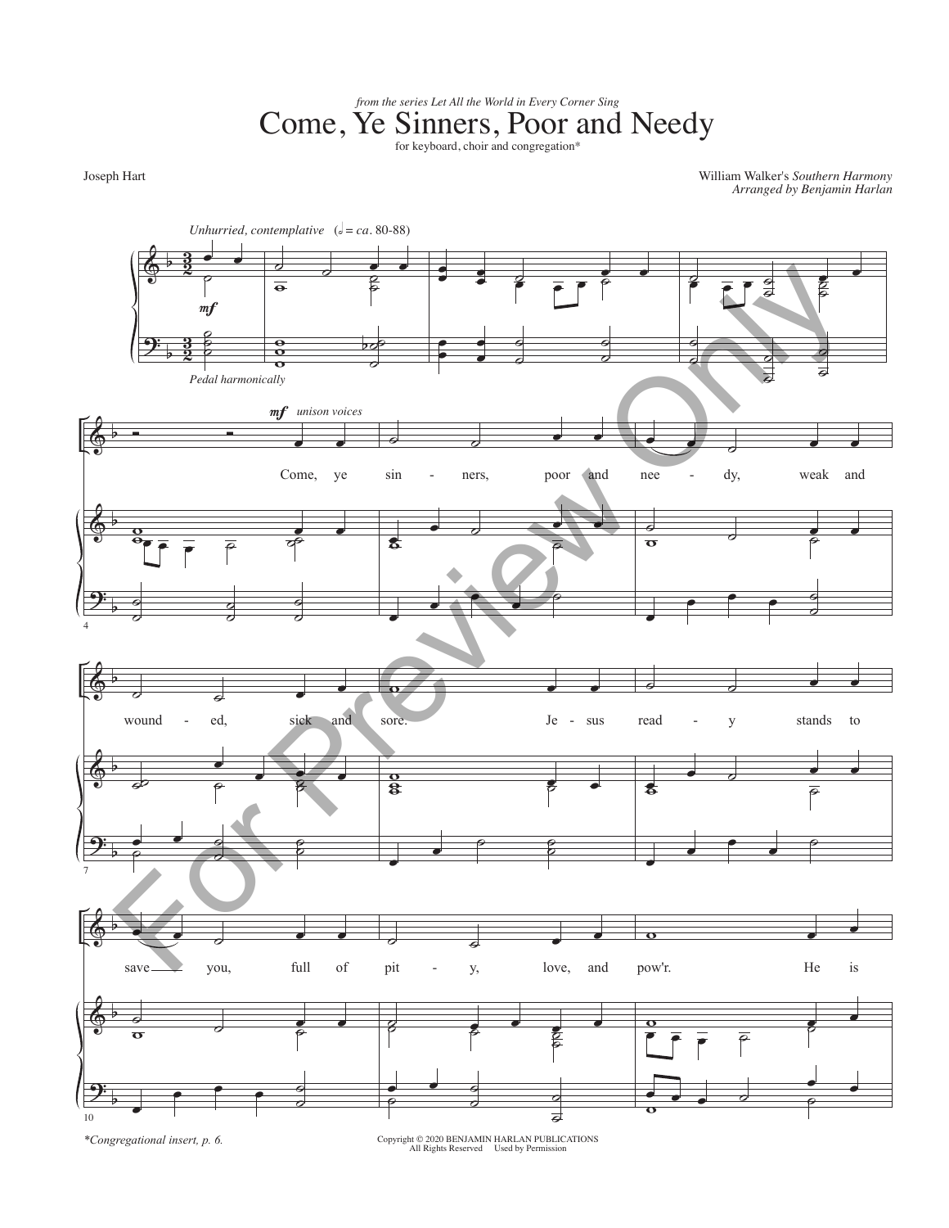*from the series Let All the World in Every Corner Sing*<br>Come, Ye Sinners, Poor and Needy

Joseph Hart

William Walker's *Southern Harmony Arranged by Benjamin Harlan*



*\*Congregational insert, p. 6.*

Copyright © 2020 BENJAMIN HARLAN PUBLICATIONS All Rights Reserved Used by Permission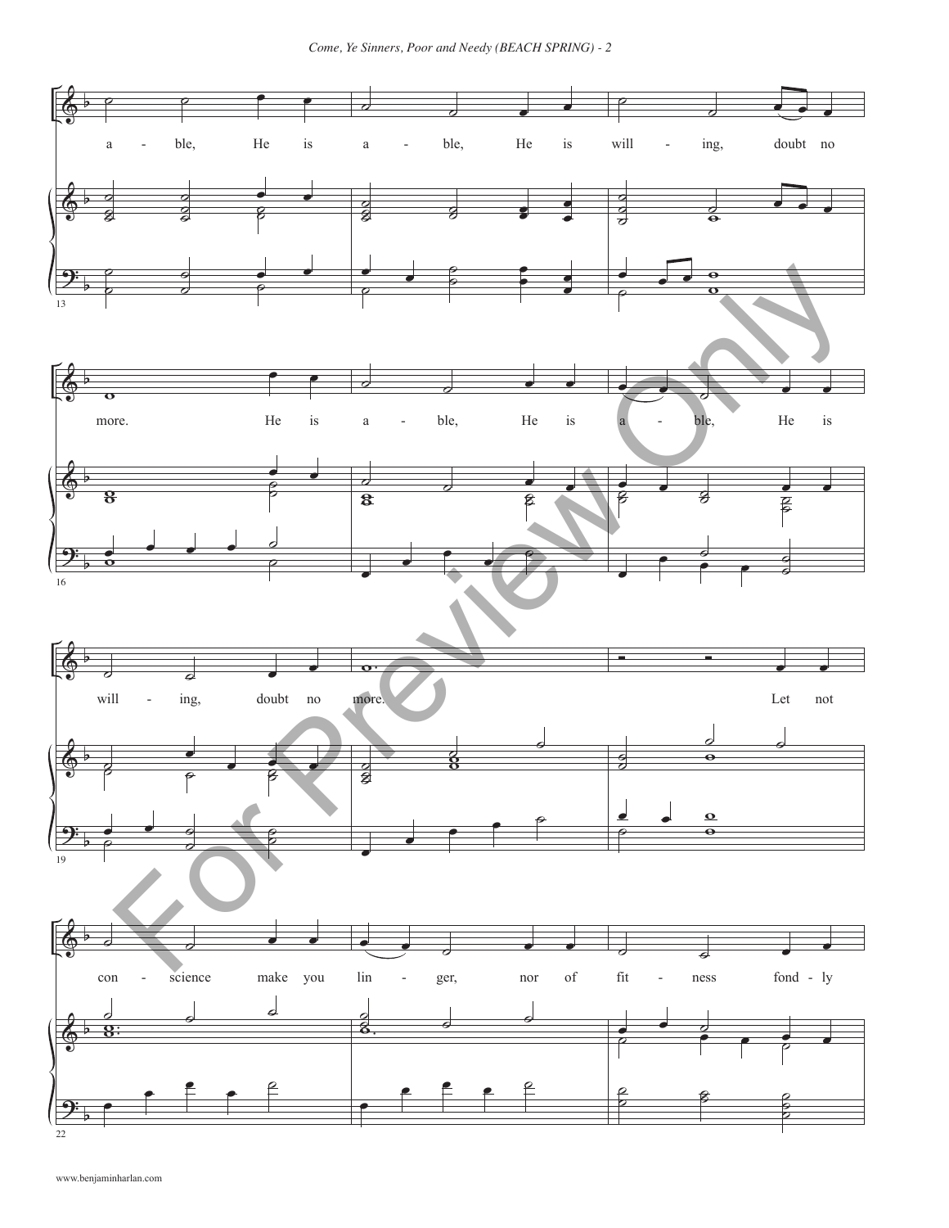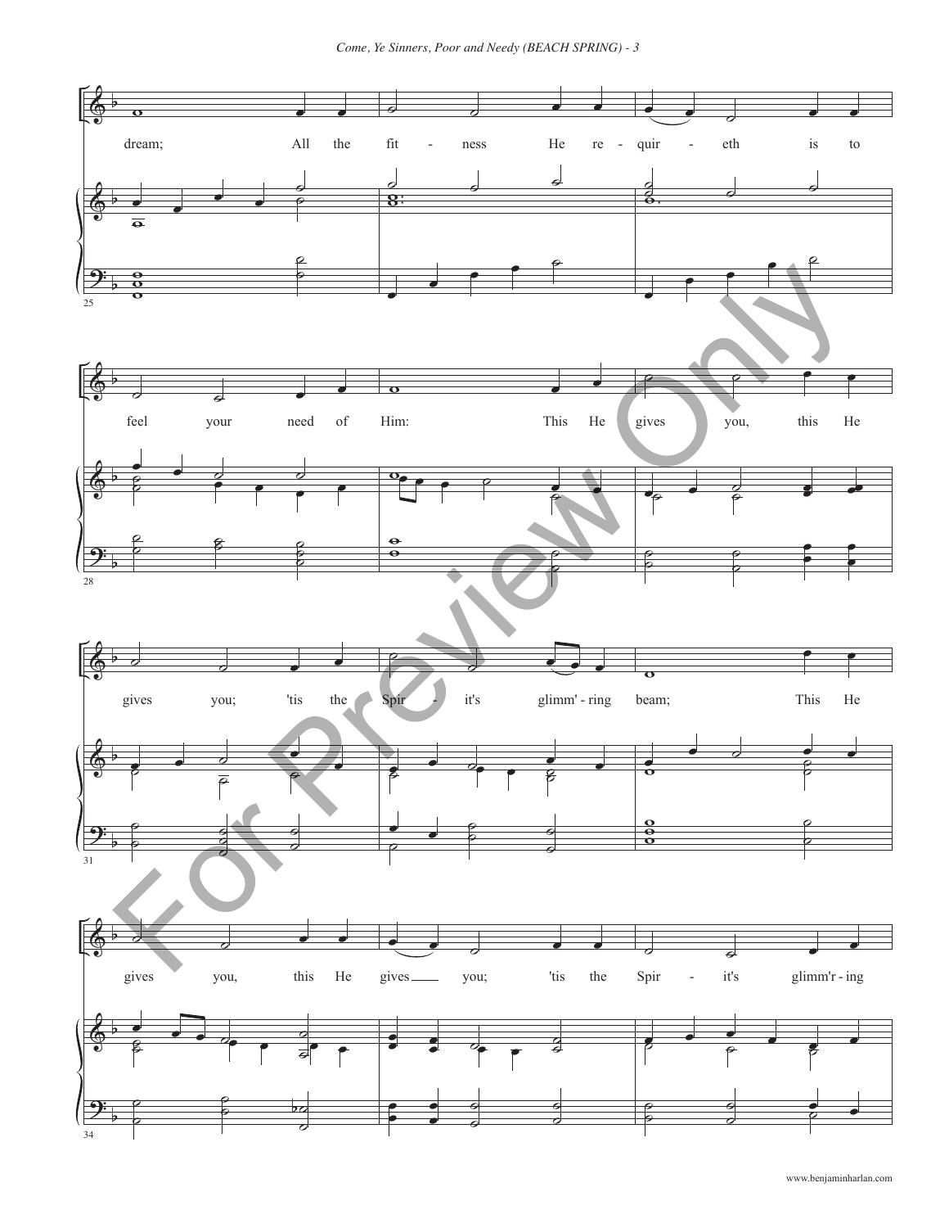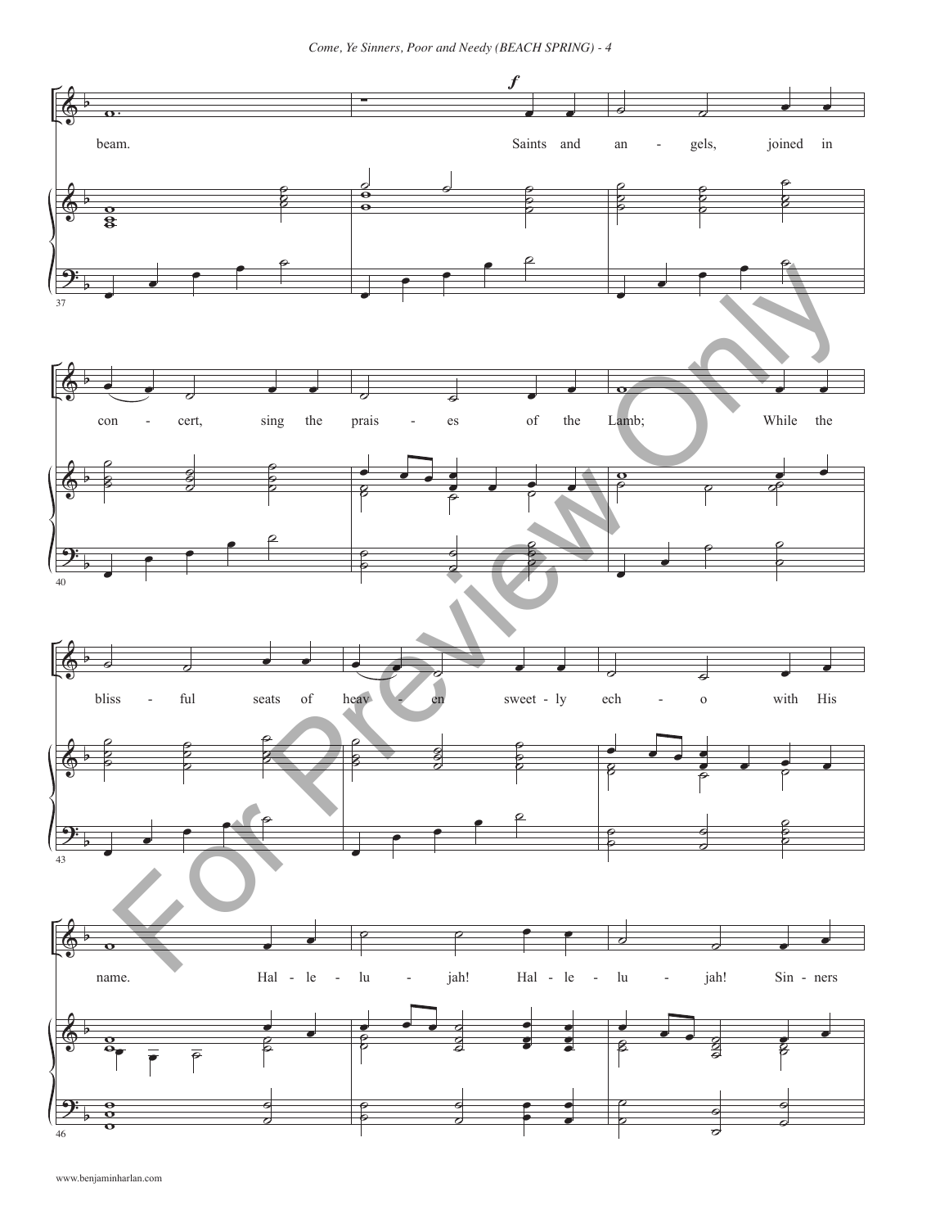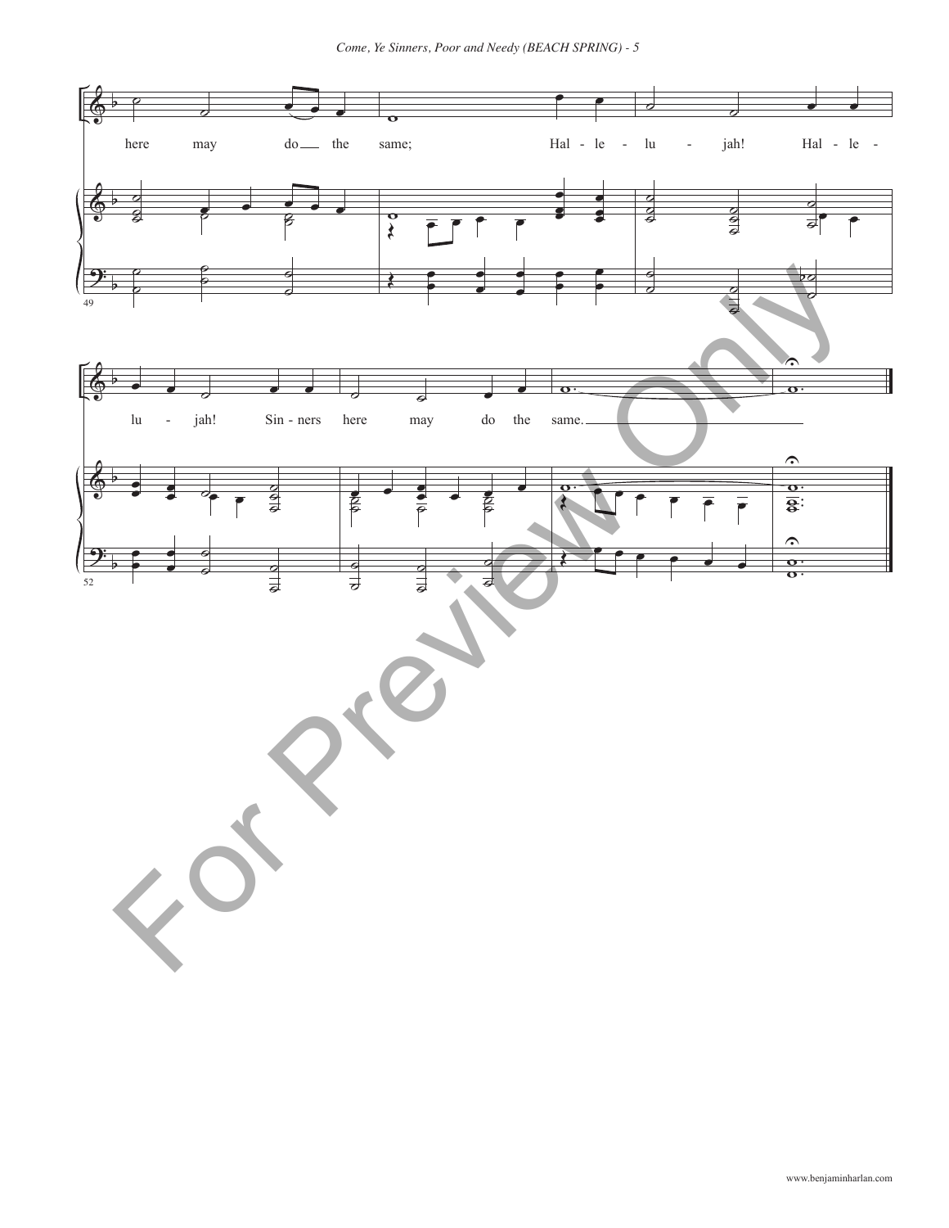